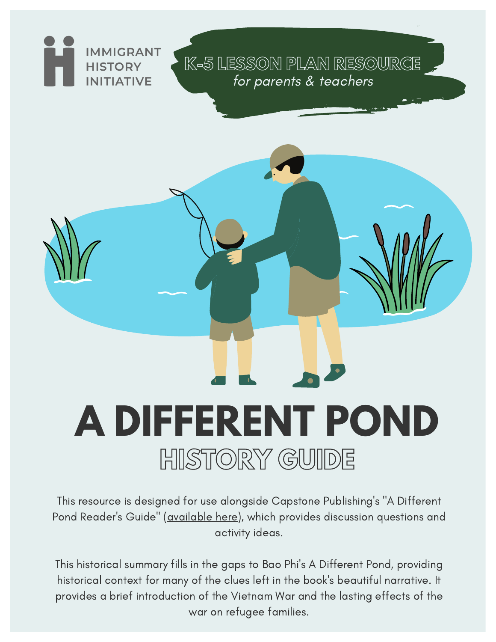

# **A DIFFERENT POND HISTORY GUIDE**

This resource is designed for use alongside Capstone Publishing's "A Different Pond Reader's Guide" ([available](https://shop.capstonepub.com/assets/123/7/A_Different_Pond_Readers_Guide.pdf) here), which provides discussion questions and activity ideas.

This historical summary fills in the gaps to Bao Phi's A Different Pond, providing historical context for many of the clues left in the book's beautiful narrative. It provides a brief introduction of the Vietnam War and the lasting effects of the war on refugee families.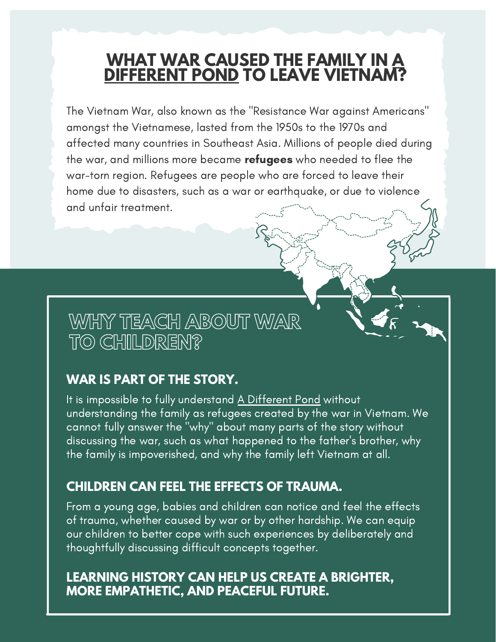## **WHAT WAR CAUSED THE FAMILY IN A DIFFERENT POND TO LEAVE VIETNAM?**

The Vietnam War, also known as the "Resistance War against Americans" amongst the Vietnamese, lasted from the 1950s to the 1970s and affected many countries in Southeast Asia. Millions of people died during the war, and millions more became refugees who needed to flee the war-torn region. Refugees are people who are forced to leave their home due to disasters, such as a war or earthquake, or due to violence and unfair treatment.

## **WHY TEACH ABOUT WAR TO CHILDREN?**

#### **WAR IS PART OF THE STORY.**

It is impossible to fully understand A Different Pond without understanding the family as refugees created by the war in Vietnam. We cannot fully answer the "why" about many parts of the story without discussing the war, such as what happened to the father's brother, why the family is impoverished, and why the family left Vietnam at all.

#### **CHILDREN CAN FEEL THE EFFECTS OF TRAUMA.**

From a young age, babies and children can notice and feel the effects of trauma, whether caused by war or by other hardship. We can equip our children to better cope with such experiences by deliberately and thoughtfully discussing difficult concepts together.

#### **LEARNING HISTORY CAN HELP US CREATE A BRIGHTER, MORE EMPATHETIC, AND PEACEFUL FUTURE.**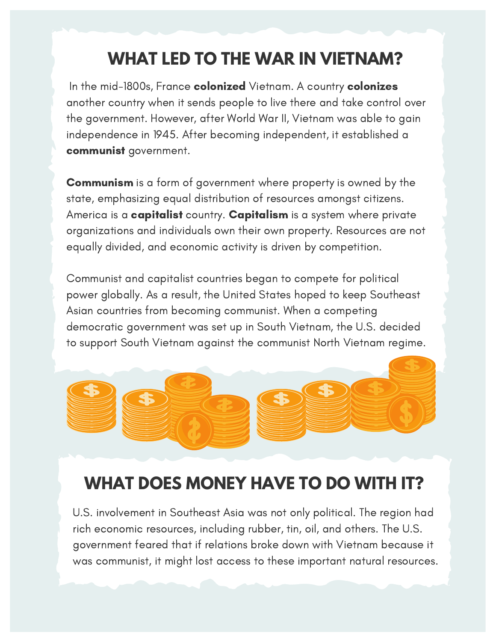# **WHAT LED TO THE WAR IN VIETNAM?**

In the mid-1800s, France colonized Vietnam. A country colonizes another country when it sends people to live there and take control over the government. However, after World War II, Vietnam was able to gain independence in 1945. After becoming independent, it established a communist government.

Communism is a form of government where property is owned by the state, emphasizing equal distribution of resources amongst citizens. America is a **capitalist** country. **Capitalism** is a system where private organizations and individuals own their own property. Resources are not equally divided, and economic activity is driven by competition.

Communist and capitalist countries began to compete for political power globally. As a result, the United States hoped to keep Southeast Asian countries from becoming communist. When a competing democratic government was set up in South Vietnam, the U.S. decided to support South Vietnam against the communist North Vietnam regime.



# **WHAT DOES MONEY HAVE TO DO WITH IT?**

U.S. involvement in Southeast Asia was not only political. The region had rich economic resources, including rubber, tin, oil, and others. The U.S. government feared that if relations broke down with Vietnam because it was communist, it might lost access to these important natural resources.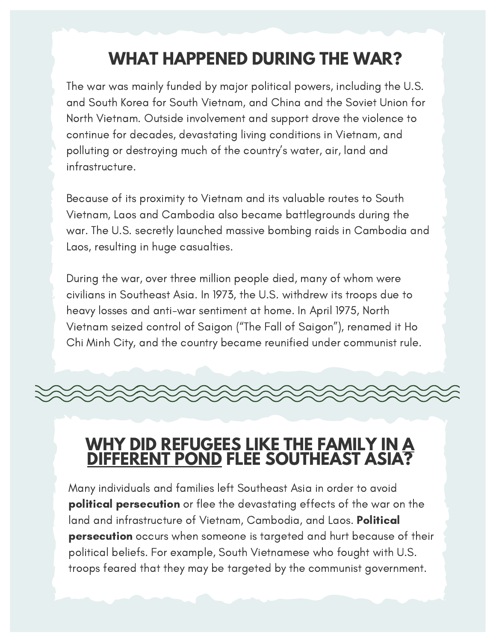# **WHAT HAPPENED DURING THE WAR?**

The war was mainly funded by major political powers, including the U.S. and South Korea for South Vietnam, and China and the Soviet Union for North Vietnam. Outside involvement and support drove the violence to continue for decades, devastating living conditions in Vietnam, and polluting or destroying much of the country's water, air, land and infrastructure.

Because of its proximity to Vietnam and its valuable routes to South Vietnam, Laos and Cambodia also became battlegrounds during the war. The U.S. secretly launched massive bombing raids in Cambodia and Laos, resulting in huge casualties.

During the war, over three million people died, many of whom were civilians in Southeast Asia. In 1973, the U.S. withdrew its troops due to heavy losses and anti-war sentiment at home. In April 1975, North Vietnam seized control of Saigon ("The Fall of Saigon"), renamed it Ho Chi Minh City, and the country became reunified under communist rule.

### **WHY DID REFUGEES LIKE THE FAMILY IN A DIFFERENT POND FLEE SOUTHEAST ASIA?**

Many individuals and families left Southeast Asia in order to avoid political persecution or flee the devastating effects of the war on the land and infrastructure of Vietnam, Cambodia, and Laos. Political persecution occurs when someone is targeted and hurt because of their political beliefs. For example, South Vietnamese who fought with U.S. troops feared that they may be targeted by the communist government.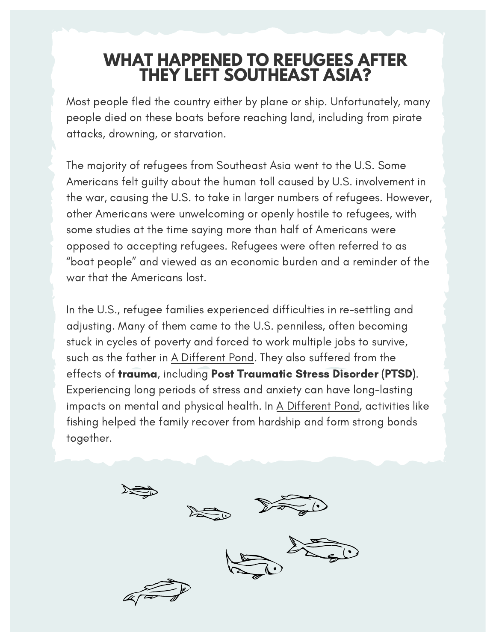### **WHAT HAPPENED TO REFUGEES AFTER THEY LEFT SOUTHEAST ASIA?**

Most people fled the country either by plane or ship. Unfortunately, many people died on these boats before reaching land, including from pirate attacks, drowning, or starvation.

The majority of refugees from Southeast Asia went to the U.S. Some Americans felt guilty about the human toll caused by U.S. involvement in the war, causing the U.S. to take in larger numbers of refugees. However, other Americans were unwelcoming or openly hostile to refugees, with some studies at the time saying more than half of Americans were opposed to accepting refugees. Refugees were often referred to as "boat people" and viewed as an economic burden and a reminder of the war that the Americans lost.

In the U.S., refugee families experienced difficulties in re-settling and adjusting. Many of them came to the U.S. penniless, often becoming stuck in cycles of poverty and forced to work multiple jobs to survive, such as the father in A Different Pond. They also suffered from the effects of trauma, including Post Traumatic Stress Disorder (PTSD). Experiencing long periods of stress and anxiety can have long-lasting impacts on mental and physical health. In A Different Pond, activities like fishing helped the family recover from hardship and form strong bonds together.

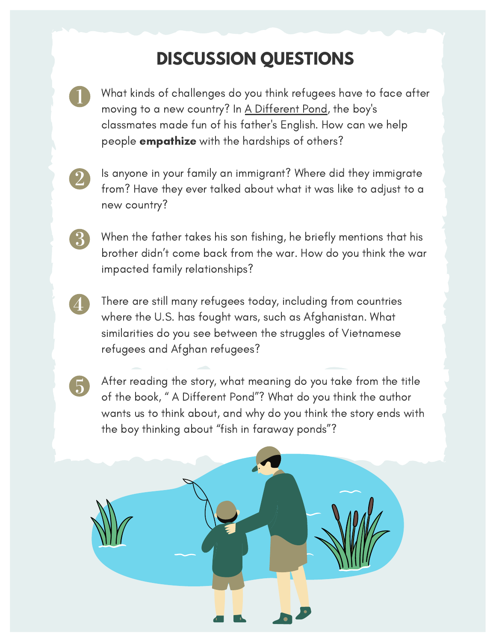## **DISCUSSION QUESTIONS**

What kinds of challenges do you think refugees have to face after moving to a new country? In A Different Pond, the boy's classmates made fun of his father's English. How can we help people **empathize** with the hardships of others?

 $3\overline{)}$ 

5

Is anyone in your family an immigrant? Where did they immigrate from? Have they ever talked about what it was like to adjust to a new country?

When the father takes his son fishing, he briefly mentions that his brother didn't come back from the war. How do you think the war impacted family relationships?

There are still many refugees today, including from countries where the U.S. has fought wars, such as Afghanistan. What similarities do you see between the struggles of Vietnamese refugees and Afghan refugees?

After reading the story, what meaning do you take from the title of the book, " A Different Pond"? What do you think the author wants us to think about, and why do you think the story ends with the boy thinking about "fish in faraway ponds"?